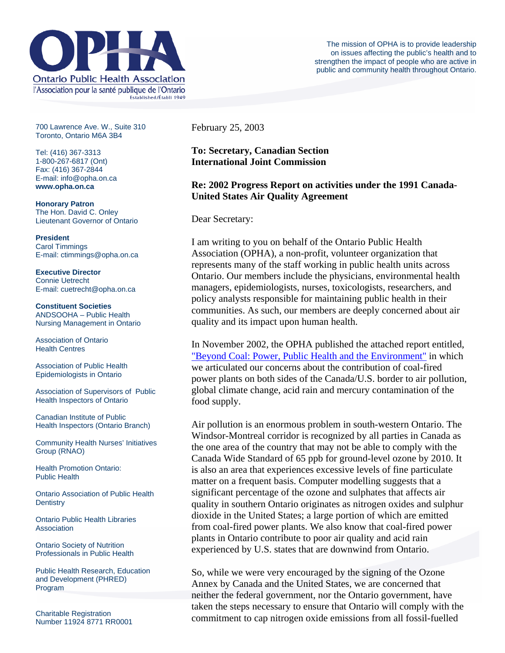

700 Lawrence Ave. W., Suite 310 Toronto, Ontario M6A 3B4

Tel: (416) 367-3313 1-800-267-6817 (Ont) Fax: (416) 367-2844 E-mail: info@opha.on.ca **www.opha.on.ca** 

**Honorary Patron**  The Hon. David C. Onley Lieutenant Governor of Ontario

**President**  Carol Timmings E-mail: ctimmings@opha.on.ca

**Executive Director**  Connie Uetrecht E-mail: cuetrecht@opha.on.ca

**Constituent Societies**  ANDSOOHA – Public Health Nursing Management in Ontario

Association of Ontario Health Centres

Association of Public Health Epidemiologists in Ontario

Association of Supervisors of Public Health Inspectors of Ontario

Canadian Institute of Public Health Inspectors (Ontario Branch)

Community Health Nurses' Initiatives Group (RNAO)

Health Promotion Ontario: Public Health

Ontario Association of Public Health **Dentistry** 

Ontario Public Health Libraries **Association** 

Ontario Society of Nutrition Professionals in Public Health

Public Health Research, Education and Development (PHRED) Program

Charitable Registration Number 11924 8771 RR0001 February 25, 2003

**To: Secretary, Canadian Section International Joint Commission**

## **Re: 2002 Progress Report on activities under the 1991 Canada-United States Air Quality Agreement**

Dear Secretary:

I am writing to you on behalf of the Ontario Public Health Association (OPHA), a non-profit, volunteer organization that represents many of the staff working in public health units across Ontario. Our members include the physicians, environmental health managers, epidemiologists, nurses, toxicologists, researchers, and policy analysts responsible for maintaining public health in their communities. As such, our members are deeply concerned about air quality and its impact upon human health.

In November 2002, the OPHA published the attached report entitled, ["Beyond Coal: Power, Public Health and the Environment"](http://76.74.186.129/resources/coal.pdf) in which we articulated our concerns about the contribution of coal-fired power plants on both sides of the Canada/U.S. border to air pollution, global climate change, acid rain and mercury contamination of the food supply.

Air pollution is an enormous problem in south-western Ontario. The Windsor-Montreal corridor is recognized by all parties in Canada as the one area of the country that may not be able to comply with the Canada Wide Standard of 65 ppb for ground-level ozone by 2010. It is also an area that experiences excessive levels of fine particulate matter on a frequent basis. Computer modelling suggests that a significant percentage of the ozone and sulphates that affects air quality in southern Ontario originates as nitrogen oxides and sulphur dioxide in the United States; a large portion of which are emitted from coal-fired power plants. We also know that coal-fired power plants in Ontario contribute to poor air quality and acid rain experienced by U.S. states that are downwind from Ontario.

So, while we were very encouraged by the signing of the Ozone Annex by Canada and the United States, we are concerned that neither the federal government, nor the Ontario government, have taken the steps necessary to ensure that Ontario will comply with the commitment to cap nitrogen oxide emissions from all fossil-fuelled